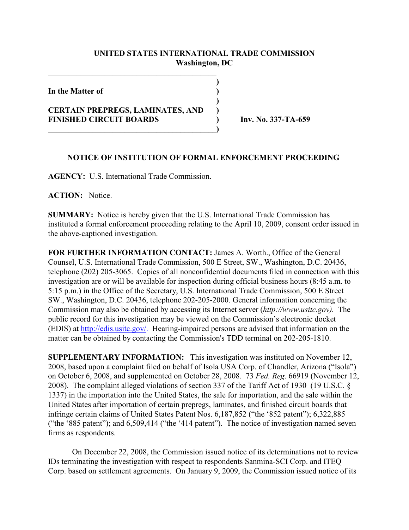## **UNITED STATES INTERNATIONAL TRADE COMMISSION Washington, DC**

**)**

**)**

**In the Matter of )**

## **CERTAIN PREPREGS, LAMINATES, AND ) FINISHED CIRCUIT BOARDS ) Inv. No. 337-TA-659**

**\_\_\_\_\_\_\_\_\_\_\_\_\_\_\_\_\_\_\_\_\_\_\_\_\_\_\_\_\_\_\_\_\_\_\_\_\_\_\_\_\_\_)**

**\_\_\_\_\_\_\_\_\_\_\_\_\_\_\_\_\_\_\_\_\_\_\_\_\_\_\_\_\_\_\_\_\_\_\_\_\_\_\_\_\_\_**

## **NOTICE OF INSTITUTION OF FORMAL ENFORCEMENT PROCEEDING**

**AGENCY:** U.S. International Trade Commission.

**ACTION:** Notice.

**SUMMARY:** Notice is hereby given that the U.S. International Trade Commission has instituted a formal enforcement proceeding relating to the April 10, 2009, consent order issued in the above-captioned investigation.

**FOR FURTHER INFORMATION CONTACT:** James A. Worth., Office of the General Counsel, U.S. International Trade Commission, 500 E Street, SW., Washington, D.C. 20436, telephone (202) 205-3065. Copies of all nonconfidential documents filed in connection with this investigation are or will be available for inspection during official business hours (8:45 a.m. to 5:15 p.m.) in the Office of the Secretary, U.S. International Trade Commission, 500 E Street SW., Washington, D.C. 20436, telephone 202-205-2000. General information concerning the Commission may also be obtained by accessing its Internet server (*http://www.usitc.gov).* The public record for this investigation may be viewed on the Commission's electronic docket (EDIS) at [http://edis.usitc.gov/.](http://dockets.usitc.gov/eol.public.) Hearing-impaired persons are advised that information on the matter can be obtained by contacting the Commission's TDD terminal on 202-205-1810.

**SUPPLEMENTARY INFORMATION:** This investigation was instituted on November 12, 2008, based upon a complaint filed on behalf of Isola USA Corp. of Chandler, Arizona ("Isola") on October 6, 2008, and supplemented on October 28, 2008. 73 *Fed. Reg*. 66919 (November 12, 2008). The complaint alleged violations of section 337 of the Tariff Act of 1930 (19 U.S.C. § 1337) in the importation into the United States, the sale for importation, and the sale within the United States after importation of certain prepregs, laminates, and finished circuit boards that infringe certain claims of United States Patent Nos. 6,187,852 ("the '852 patent"); 6,322,885 ("the '885 patent"); and 6,509,414 ("the '414 patent"). The notice of investigation named seven firms as respondents.

On December 22, 2008, the Commission issued notice of its determinations not to review IDs terminating the investigation with respect to respondents Sanmina-SCI Corp. and ITEQ Corp. based on settlement agreements. On January 9, 2009, the Commission issued notice of its